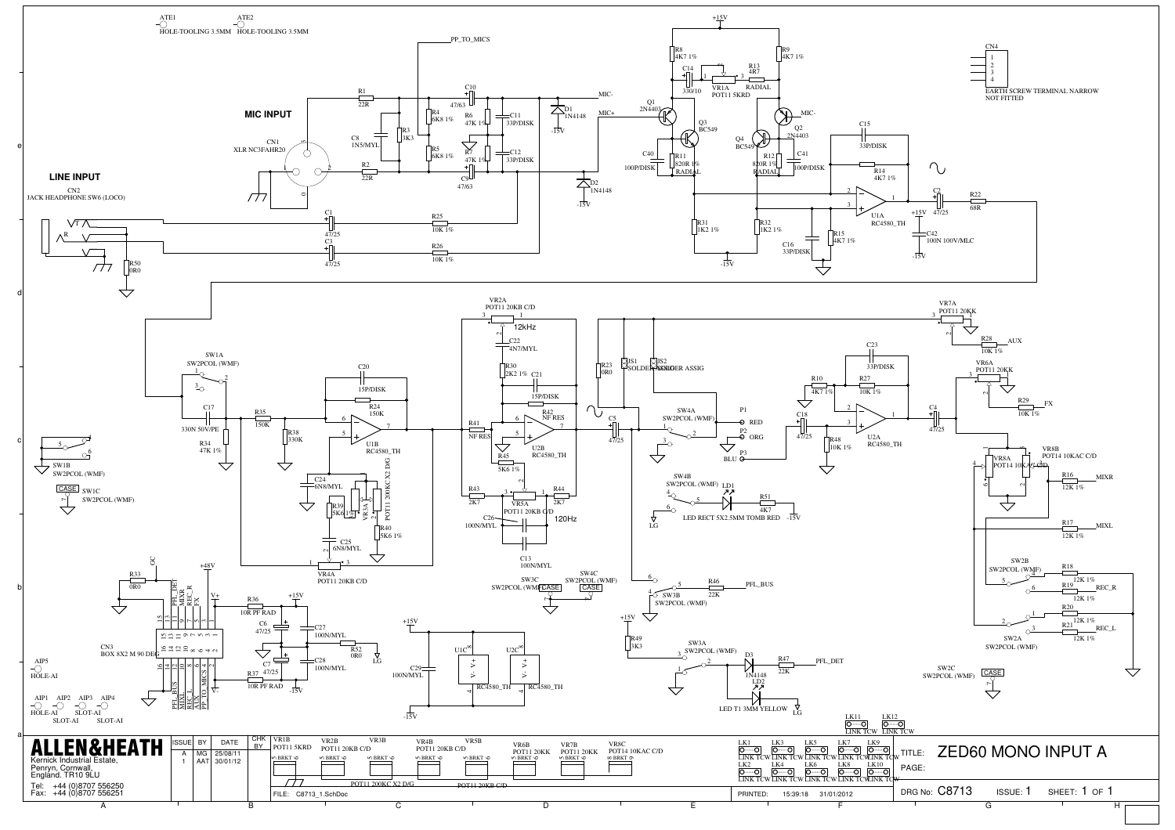